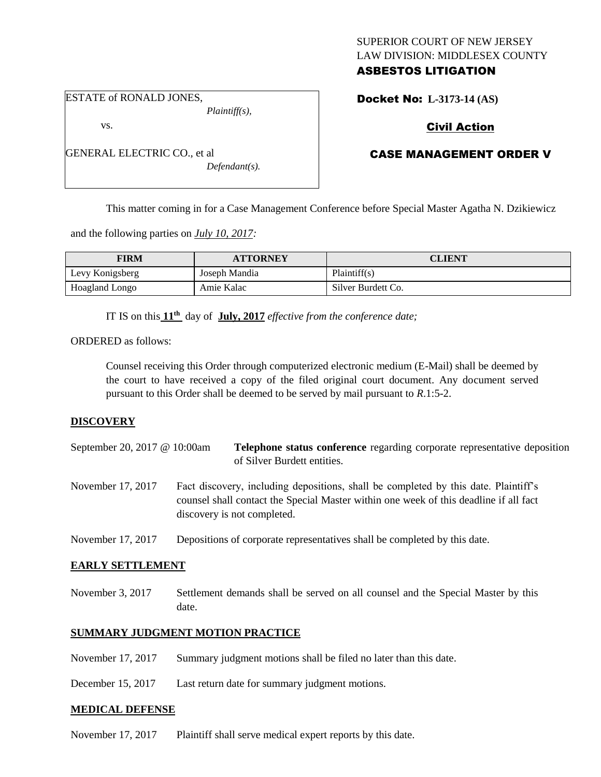## SUPERIOR COURT OF NEW JERSEY LAW DIVISION: MIDDLESEX COUNTY ASBESTOS LITIGATION

ESTATE of RONALD JONES,

GENERAL ELECTRIC CO., et al

vs.

*Plaintiff(s),*

*Defendant(s).*

Docket No: **L-3173-14 (AS)** 

# Civil Action

## CASE MANAGEMENT ORDER V

This matter coming in for a Case Management Conference before Special Master Agatha N. Dzikiewicz

and the following parties on *July 10, 2017:*

| <b>FIRM</b>     | <b>ATTORNEY</b> | CLIENT             |
|-----------------|-----------------|--------------------|
| Levy Konigsberg | Joseph Mandia   | Plaintiff(s)       |
| Hoagland Longo  | Amie Kalac      | Silver Burdett Co. |

IT IS on this **11th** day of **July, 2017** *effective from the conference date;*

ORDERED as follows:

Counsel receiving this Order through computerized electronic medium (E-Mail) shall be deemed by the court to have received a copy of the filed original court document. Any document served pursuant to this Order shall be deemed to be served by mail pursuant to *R*.1:5-2.

## **DISCOVERY**

- September 20, 2017 @ 10:00am **Telephone status conference** regarding corporate representative deposition of Silver Burdett entities.
- November 17, 2017 Fact discovery, including depositions, shall be completed by this date. Plaintiff's counsel shall contact the Special Master within one week of this deadline if all fact discovery is not completed.
- November 17, 2017 Depositions of corporate representatives shall be completed by this date.

## **EARLY SETTLEMENT**

November 3, 2017 Settlement demands shall be served on all counsel and the Special Master by this date.

## **SUMMARY JUDGMENT MOTION PRACTICE**

November 17, 2017 Summary judgment motions shall be filed no later than this date.

December 15, 2017 Last return date for summary judgment motions.

#### **MEDICAL DEFENSE**

November 17, 2017 Plaintiff shall serve medical expert reports by this date.